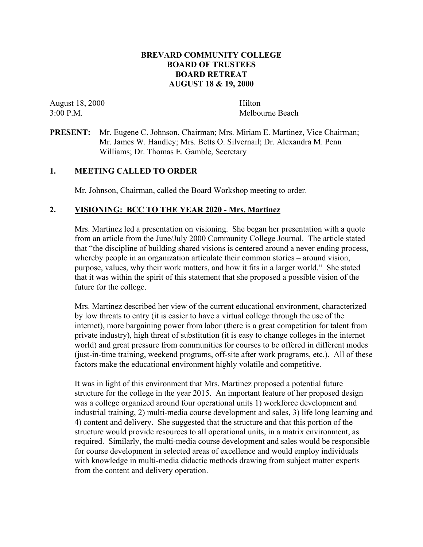## **BREVARD COMMUNITY COLLEGE BOARD OF TRUSTEES BOARD RETREAT AUGUST 18 & 19, 2000**

August 18, 2000 Hilton

3:00 P.M. Melbourne Beach

## **PRESENT:** Mr. Eugene C. Johnson, Chairman; Mrs. Miriam E. Martinez, Vice Chairman; Mr. James W. Handley; Mrs. Betts O. Silvernail; Dr. Alexandra M. Penn Williams; Dr. Thomas E. Gamble, Secretary

## **1. MEETING CALLED TO ORDER**

Mr. Johnson, Chairman, called the Board Workshop meeting to order.

## **2. VISIONING: BCC TO THE YEAR 2020 - Mrs. Martinez**

Mrs. Martinez led a presentation on visioning. She began her presentation with a quote from an article from the June/July 2000 Community College Journal. The article stated that "the discipline of building shared visions is centered around a never ending process, whereby people in an organization articulate their common stories – around vision, purpose, values, why their work matters, and how it fits in a larger world." She stated that it was within the spirit of this statement that she proposed a possible vision of the future for the college.

Mrs. Martinez described her view of the current educational environment, characterized by low threats to entry (it is easier to have a virtual college through the use of the internet), more bargaining power from labor (there is a great competition for talent from private industry), high threat of substitution (it is easy to change colleges in the internet world) and great pressure from communities for courses to be offered in different modes (just-in-time training, weekend programs, off-site after work programs, etc.). All of these factors make the educational environment highly volatile and competitive.

It was in light of this environment that Mrs. Martinez proposed a potential future structure for the college in the year 2015. An important feature of her proposed design was a college organized around four operational units 1) workforce development and industrial training, 2) multi-media course development and sales, 3) life long learning and 4) content and delivery. She suggested that the structure and that this portion of the structure would provide resources to all operational units, in a matrix environment, as required. Similarly, the multi-media course development and sales would be responsible for course development in selected areas of excellence and would employ individuals with knowledge in multi-media didactic methods drawing from subject matter experts from the content and delivery operation.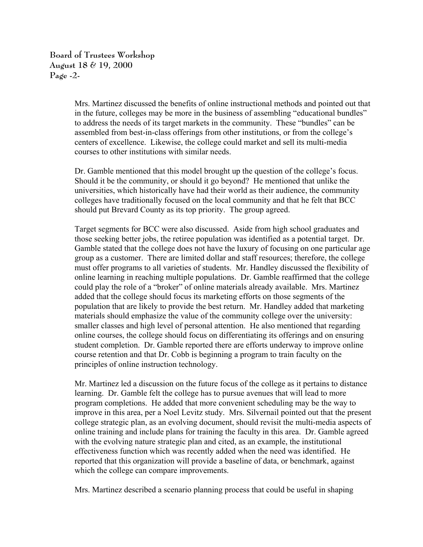**Board of Trustees Workshop August 18 & 19, 2000 Page -2-**

> Mrs. Martinez discussed the benefits of online instructional methods and pointed out that in the future, colleges may be more in the business of assembling "educational bundles" to address the needs of its target markets in the community. These "bundles" can be assembled from best-in-class offerings from other institutions, or from the college's centers of excellence. Likewise, the college could market and sell its multi-media courses to other institutions with similar needs.

Dr. Gamble mentioned that this model brought up the question of the college's focus. Should it be the community, or should it go beyond? He mentioned that unlike the universities, which historically have had their world as their audience, the community colleges have traditionally focused on the local community and that he felt that BCC should put Brevard County as its top priority. The group agreed.

Target segments for BCC were also discussed. Aside from high school graduates and those seeking better jobs, the retiree population was identified as a potential target. Dr. Gamble stated that the college does not have the luxury of focusing on one particular age group as a customer. There are limited dollar and staff resources; therefore, the college must offer programs to all varieties of students. Mr. Handley discussed the flexibility of online learning in reaching multiple populations. Dr. Gamble reaffirmed that the college could play the role of a "broker" of online materials already available. Mrs. Martinez added that the college should focus its marketing efforts on those segments of the population that are likely to provide the best return. Mr. Handley added that marketing materials should emphasize the value of the community college over the university: smaller classes and high level of personal attention. He also mentioned that regarding online courses, the college should focus on differentiating its offerings and on ensuring student completion. Dr. Gamble reported there are efforts underway to improve online course retention and that Dr. Cobb is beginning a program to train faculty on the principles of online instruction technology.

Mr. Martinez led a discussion on the future focus of the college as it pertains to distance learning. Dr. Gamble felt the college has to pursue avenues that will lead to more program completions. He added that more convenient scheduling may be the way to improve in this area, per a Noel Levitz study. Mrs. Silvernail pointed out that the present college strategic plan, as an evolving document, should revisit the multi-media aspects of online training and include plans for training the faculty in this area. Dr. Gamble agreed with the evolving nature strategic plan and cited, as an example, the institutional effectiveness function which was recently added when the need was identified. He reported that this organization will provide a baseline of data, or benchmark, against which the college can compare improvements.

Mrs. Martinez described a scenario planning process that could be useful in shaping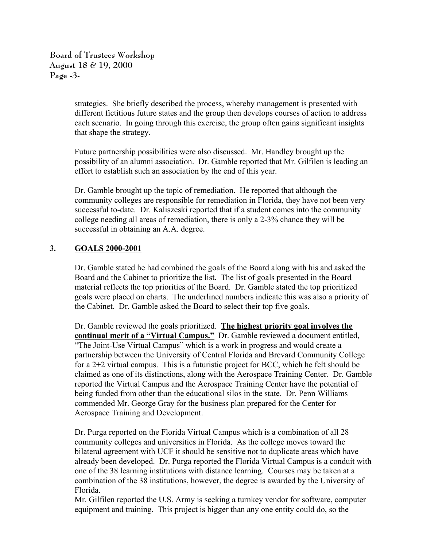**Board of Trustees Workshop August 18 & 19, 2000 Page -3-**

> strategies. She briefly described the process, whereby management is presented with different fictitious future states and the group then develops courses of action to address each scenario. In going through this exercise, the group often gains significant insights that shape the strategy.

> Future partnership possibilities were also discussed. Mr. Handley brought up the possibility of an alumni association. Dr. Gamble reported that Mr. Gilfilen is leading an effort to establish such an association by the end of this year.

Dr. Gamble brought up the topic of remediation. He reported that although the community colleges are responsible for remediation in Florida, they have not been very successful to-date. Dr. Kaliszeski reported that if a student comes into the community college needing all areas of remediation, there is only a 2-3% chance they will be successful in obtaining an A.A. degree.

# **3. GOALS 2000-2001**

Dr. Gamble stated he had combined the goals of the Board along with his and asked the Board and the Cabinet to prioritize the list. The list of goals presented in the Board material reflects the top priorities of the Board. Dr. Gamble stated the top prioritized goals were placed on charts. The underlined numbers indicate this was also a priority of the Cabinet. Dr. Gamble asked the Board to select their top five goals.

Dr. Gamble reviewed the goals prioritized. **The highest priority goal involves the continual merit of a "Virtual Campus."** Dr. Gamble reviewed a document entitled, "The Joint-Use Virtual Campus" which is a work in progress and would create a partnership between the University of Central Florida and Brevard Community College for a 2+2 virtual campus. This is a futuristic project for BCC, which he felt should be claimed as one of its distinctions, along with the Aerospace Training Center. Dr. Gamble reported the Virtual Campus and the Aerospace Training Center have the potential of being funded from other than the educational silos in the state. Dr. Penn Williams commended Mr. George Gray for the business plan prepared for the Center for Aerospace Training and Development.

Dr. Purga reported on the Florida Virtual Campus which is a combination of all 28 community colleges and universities in Florida. As the college moves toward the bilateral agreement with UCF it should be sensitive not to duplicate areas which have already been developed. Dr. Purga reported the Florida Virtual Campus is a conduit with one of the 38 learning institutions with distance learning. Courses may be taken at a combination of the 38 institutions, however, the degree is awarded by the University of Florida.

Mr. Gilfilen reported the U.S. Army is seeking a turnkey vendor for software, computer equipment and training. This project is bigger than any one entity could do, so the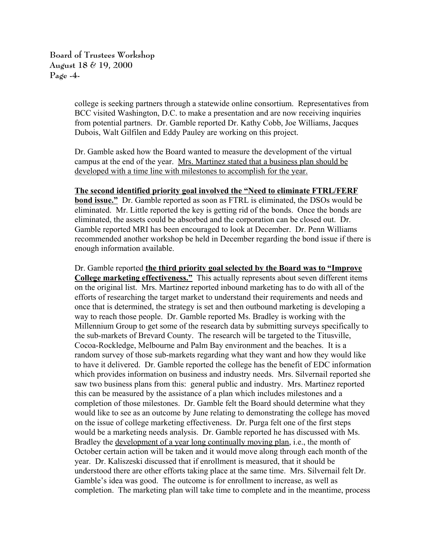**Board of Trustees Workshop August 18 & 19, 2000 Page -4-**

> college is seeking partners through a statewide online consortium. Representatives from BCC visited Washington, D.C. to make a presentation and are now receiving inquiries from potential partners. Dr. Gamble reported Dr. Kathy Cobb, Joe Williams, Jacques Dubois, Walt Gilfilen and Eddy Pauley are working on this project.

Dr. Gamble asked how the Board wanted to measure the development of the virtual campus at the end of the year. Mrs. Martinez stated that a business plan should be developed with a time line with milestones to accomplish for the year.

#### **The second identified priority goal involved the "Need to eliminate FTRL/FERF**

**bond issue."** Dr. Gamble reported as soon as FTRL is eliminated, the DSOs would be eliminated. Mr. Little reported the key is getting rid of the bonds. Once the bonds are eliminated, the assets could be absorbed and the corporation can be closed out. Dr. Gamble reported MRI has been encouraged to look at December. Dr. Penn Williams recommended another workshop be held in December regarding the bond issue if there is enough information available.

Dr. Gamble reported **the third priority goal selected by the Board was to "Improve College marketing effectiveness."** This actually represents about seven different items on the original list. Mrs. Martinez reported inbound marketing has to do with all of the efforts of researching the target market to understand their requirements and needs and once that is determined, the strategy is set and then outbound marketing is developing a way to reach those people. Dr. Gamble reported Ms. Bradley is working with the Millennium Group to get some of the research data by submitting surveys specifically to the sub-markets of Brevard County. The research will be targeted to the Titusville, Cocoa-Rockledge, Melbourne and Palm Bay environment and the beaches. It is a random survey of those sub-markets regarding what they want and how they would like to have it delivered. Dr. Gamble reported the college has the benefit of EDC information which provides information on business and industry needs. Mrs. Silvernail reported she saw two business plans from this: general public and industry. Mrs. Martinez reported this can be measured by the assistance of a plan which includes milestones and a completion of those milestones. Dr. Gamble felt the Board should determine what they would like to see as an outcome by June relating to demonstrating the college has moved on the issue of college marketing effectiveness. Dr. Purga felt one of the first steps would be a marketing needs analysis. Dr. Gamble reported he has discussed with Ms. Bradley the <u>development of a year long continually moving plan</u>, i.e., the month of October certain action will be taken and it would move along through each month of the year. Dr. Kaliszeski discussed that if enrollment is measured, that it should be understood there are other efforts taking place at the same time. Mrs. Silvernail felt Dr. Gamble's idea was good. The outcome is for enrollment to increase, as well as completion. The marketing plan will take time to complete and in the meantime, process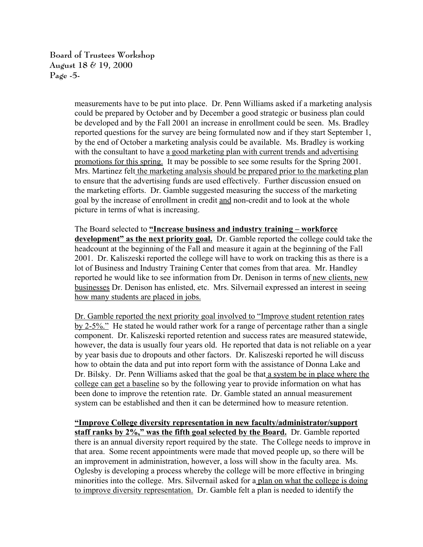**Board of Trustees Workshop August 18 & 19, 2000 Page -5-**

> measurements have to be put into place. Dr. Penn Williams asked if a marketing analysis could be prepared by October and by December a good strategic or business plan could be developed and by the Fall 2001 an increase in enrollment could be seen. Ms. Bradley reported questions for the survey are being formulated now and if they start September 1, by the end of October a marketing analysis could be available. Ms. Bradley is working with the consultant to have a good marketing plan with current trends and advertising promotions for this spring. It may be possible to see some results for the Spring 2001. Mrs. Martinez felt the marketing analysis should be prepared prior to the marketing plan to ensure that the advertising funds are used effectively. Further discussion ensued on the marketing efforts. Dr. Gamble suggested measuring the success of the marketing goal by the increase of enrollment in credit and non-credit and to look at the whole picture in terms of what is increasing.

> The Board selected to **"Increase business and industry training – workforce development" as the next priority goal.** Dr. Gamble reported the college could take the headcount at the beginning of the Fall and measure it again at the beginning of the Fall 2001. Dr. Kaliszeski reported the college will have to work on tracking this as there is a lot of Business and Industry Training Center that comes from that area. Mr. Handley reported he would like to see information from Dr. Denison in terms of new clients, new businesses Dr. Denison has enlisted, etc. Mrs. Silvernail expressed an interest in seeing how many students are placed in jobs.

> Dr. Gamble reported the next priority goal involved to "Improve student retention rates by 2-5%." He stated he would rather work for a range of percentage rather than a single component. Dr. Kaliszeski reported retention and success rates are measured statewide, however, the data is usually four years old. He reported that data is not reliable on a year by year basis due to dropouts and other factors. Dr. Kaliszeski reported he will discuss how to obtain the data and put into report form with the assistance of Donna Lake and Dr. Bilsky. Dr. Penn Williams asked that the goal be that a system be in place where the college can get a baseline so by the following year to provide information on what has been done to improve the retention rate. Dr. Gamble stated an annual measurement system can be established and then it can be determined how to measure retention.

> **"Improve College diversity representation in new faculty/administrator/support staff ranks by 2%," was the fifth goal selected by the Board.** Dr. Gamble reported there is an annual diversity report required by the state. The College needs to improve in that area. Some recent appointments were made that moved people up, so there will be an improvement in administration, however, a loss will show in the faculty area. Ms. Oglesby is developing a process whereby the college will be more effective in bringing minorities into the college. Mrs. Silvernail asked for a plan on what the college is doing to improve diversity representation. Dr. Gamble felt a plan is needed to identify the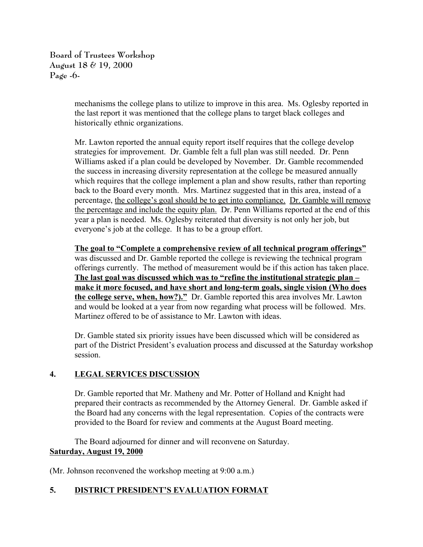**Board of Trustees Workshop August 18 & 19, 2000 Page -6-**

> mechanisms the college plans to utilize to improve in this area. Ms. Oglesby reported in the last report it was mentioned that the college plans to target black colleges and historically ethnic organizations.

> Mr. Lawton reported the annual equity report itself requires that the college develop strategies for improvement. Dr. Gamble felt a full plan was still needed. Dr. Penn Williams asked if a plan could be developed by November. Dr. Gamble recommended the success in increasing diversity representation at the college be measured annually which requires that the college implement a plan and show results, rather than reporting back to the Board every month. Mrs. Martinez suggested that in this area, instead of a percentage, the college's goal should be to get into compliance. Dr. Gamble will remove the percentage and include the equity plan. Dr. Penn Williams reported at the end of this year a plan is needed. Ms. Oglesby reiterated that diversity is not only her job, but everyone's job at the college. It has to be a group effort.

> **The goal to "Complete a comprehensive review of all technical program offerings"** was discussed and Dr. Gamble reported the college is reviewing the technical program offerings currently. The method of measurement would be if this action has taken place. **The last goal was discussed which was to "refine the institutional strategic plan – make it more focused, and have short and long-term goals, single vision (Who does the college serve, when, how?)."** Dr. Gamble reported this area involves Mr. Lawton and would be looked at a year from now regarding what process will be followed. Mrs. Martinez offered to be of assistance to Mr. Lawton with ideas.

Dr. Gamble stated six priority issues have been discussed which will be considered as part of the District President's evaluation process and discussed at the Saturday workshop session.

# **4. LEGAL SERVICES DISCUSSION**

Dr. Gamble reported that Mr. Matheny and Mr. Potter of Holland and Knight had prepared their contracts as recommended by the Attorney General. Dr. Gamble asked if the Board had any concerns with the legal representation. Copies of the contracts were provided to the Board for review and comments at the August Board meeting.

The Board adjourned for dinner and will reconvene on Saturday. **Saturday, August 19, 2000**

(Mr. Johnson reconvened the workshop meeting at 9:00 a.m.)

# **5. DISTRICT PRESIDENT'S EVALUATION FORMAT**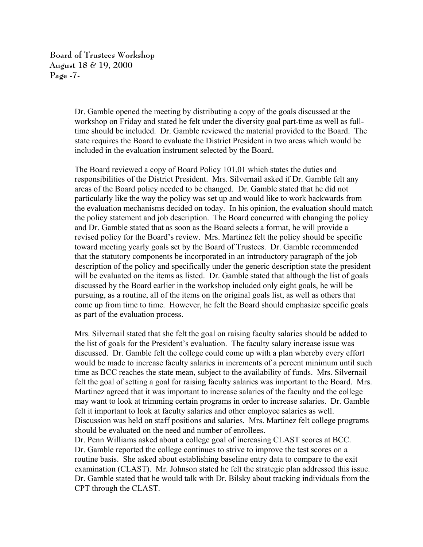**Board of Trustees Workshop August 18 & 19, 2000 Page -7-**

> Dr. Gamble opened the meeting by distributing a copy of the goals discussed at the workshop on Friday and stated he felt under the diversity goal part-time as well as fulltime should be included. Dr. Gamble reviewed the material provided to the Board. The state requires the Board to evaluate the District President in two areas which would be included in the evaluation instrument selected by the Board.

The Board reviewed a copy of Board Policy 101.01 which states the duties and responsibilities of the District President. Mrs. Silvernail asked if Dr. Gamble felt any areas of the Board policy needed to be changed. Dr. Gamble stated that he did not particularly like the way the policy was set up and would like to work backwards from the evaluation mechanisms decided on today. In his opinion, the evaluation should match the policy statement and job description. The Board concurred with changing the policy and Dr. Gamble stated that as soon as the Board selects a format, he will provide a revised policy for the Board's review. Mrs. Martinez felt the policy should be specific toward meeting yearly goals set by the Board of Trustees. Dr. Gamble recommended that the statutory components be incorporated in an introductory paragraph of the job description of the policy and specifically under the generic description state the president will be evaluated on the items as listed. Dr. Gamble stated that although the list of goals discussed by the Board earlier in the workshop included only eight goals, he will be pursuing, as a routine, all of the items on the original goals list, as well as others that come up from time to time. However, he felt the Board should emphasize specific goals as part of the evaluation process.

Mrs. Silvernail stated that she felt the goal on raising faculty salaries should be added to the list of goals for the President's evaluation. The faculty salary increase issue was discussed. Dr. Gamble felt the college could come up with a plan whereby every effort would be made to increase faculty salaries in increments of a percent minimum until such time as BCC reaches the state mean, subject to the availability of funds. Mrs. Silvernail felt the goal of setting a goal for raising faculty salaries was important to the Board. Mrs. Martinez agreed that it was important to increase salaries of the faculty and the college may want to look at trimming certain programs in order to increase salaries. Dr. Gamble felt it important to look at faculty salaries and other employee salaries as well. Discussion was held on staff positions and salaries. Mrs. Martinez felt college programs should be evaluated on the need and number of enrollees.

Dr. Penn Williams asked about a college goal of increasing CLAST scores at BCC. Dr. Gamble reported the college continues to strive to improve the test scores on a routine basis. She asked about establishing baseline entry data to compare to the exit examination (CLAST). Mr. Johnson stated he felt the strategic plan addressed this issue. Dr. Gamble stated that he would talk with Dr. Bilsky about tracking individuals from the CPT through the CLAST.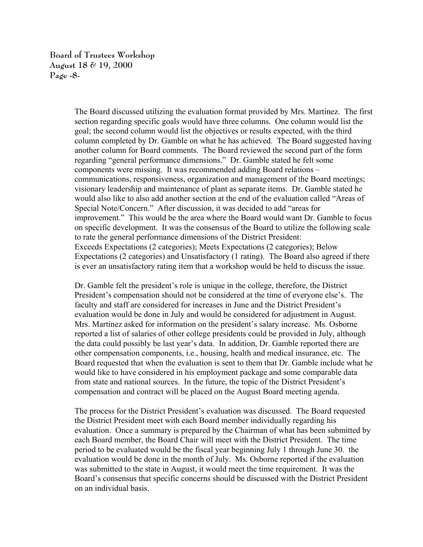**Board of Trustees Workshop August 18 & 19, 2000 Page -8-**

> The Board discussed utilizing the evaluation format provided by Mrs. Martinez. The first section regarding specific goals would have three columns. One column would list the goal; the second column would list the objectives or results expected, with the third column completed by Dr. Gamble on what he has achieved. The Board suggested having another column for Board comments. The Board reviewed the second part of the form regarding "general performance dimensions." Dr. Gamble stated he felt some components were missing. It was recommended adding Board relations – communications, responsiveness, organization and management of the Board meetings; visionary leadership and maintenance of plant as separate items. Dr. Gamble stated he would also like to also add another section at the end of the evaluation called "Areas of Special Note/Concern." After discussion, it was decided to add "areas for improvement." This would be the area where the Board would want Dr. Gamble to focus on specific development. It was the consensus of the Board to utilize the following scale to rate the general performance dimensions of the District President: Exceeds Expectations (2 categories); Meets Expectations (2 categories); Below Expectations (2 categories) and Unsatisfactory (1 rating). The Board also agreed if there is ever an unsatisfactory rating item that a workshop would be held to discuss the issue.

> Dr. Gamble felt the president's role is unique in the college, therefore, the District President's compensation should not be considered at the time of everyone else's. The faculty and staff are considered for increases in June and the District President's evaluation would be done in July and would be considered for adjustment in August. Mrs. Martinez asked for information on the president's salary increase. Ms. Osborne reported a list of salaries of other college presidents could be provided in July, although the data could possibly be last year's data. In addition, Dr. Gamble reported there are other compensation components, i.e., housing, health and medical insurance, etc. The Board requested that when the evaluation is sent to them that Dr. Gamble include what he would like to have considered in his employment package and some comparable data from state and national sources. In the future, the topic of the District President's compensation and contract will be placed on the August Board meeting agenda.

> The process for the District President's evaluation was discussed. The Board requested the District President meet with each Board member individually regarding his evaluation. Once a summary is prepared by the Chairman of what has been submitted by each Board member, the Board Chair will meet with the District President. The time period to be evaluated would be the fiscal year beginning July 1 through June 30. the evaluation would be done in the month of July. Ms. Osborne reported if the evaluation was submitted to the state in August, it would meet the time requirement. It was the Board's consensus that specific concerns should be discussed with the District President on an individual basis.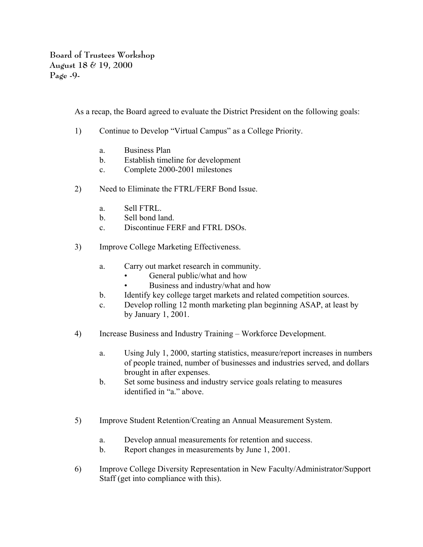**Board of Trustees Workshop August 18 & 19, 2000 Page -9-**

As a recap, the Board agreed to evaluate the District President on the following goals:

- 1) Continue to Develop "Virtual Campus" as a College Priority.
	- a. Business Plan
	- b. Establish timeline for development
	- c. Complete 2000-2001 milestones
- 2) Need to Eliminate the FTRL/FERF Bond Issue.
	- a. Sell FTRL.
	- b. Sell bond land.
	- c. Discontinue FERF and FTRL DSOs.
- 3) Improve College Marketing Effectiveness.
	- a. Carry out market research in community.
		- General public/what and how
		- Business and industry/what and how
	- b. Identify key college target markets and related competition sources.
	- c. Develop rolling 12 month marketing plan beginning ASAP, at least by by January 1, 2001.
- 4) Increase Business and Industry Training Workforce Development.
	- a. Using July 1, 2000, starting statistics, measure/report increases in numbers of people trained, number of businesses and industries served, and dollars brought in after expenses.
	- b. Set some business and industry service goals relating to measures identified in "a." above.
- 5) Improve Student Retention/Creating an Annual Measurement System.
	- a. Develop annual measurements for retention and success.
	- b. Report changes in measurements by June 1, 2001.
- 6) Improve College Diversity Representation in New Faculty/Administrator/Support Staff (get into compliance with this).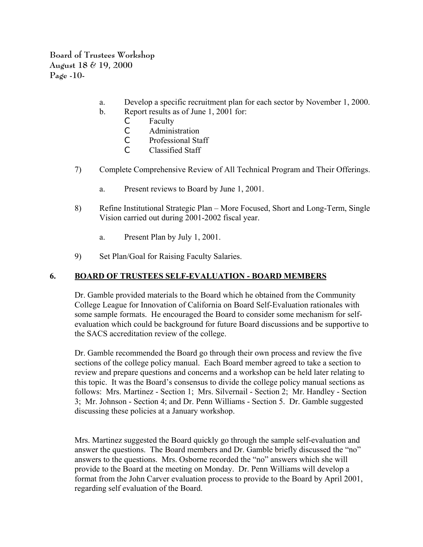**Board of Trustees Workshop August 18 & 19, 2000 Page -10-**

- a. Develop a specific recruitment plan for each sector by November 1, 2000.
- b. Report results as of June 1, 2001 for:
	- C Faculty
	- C Administration
	- C Professional Staff
	- C Classified Staff
- 7) Complete Comprehensive Review of All Technical Program and Their Offerings.
	- a. Present reviews to Board by June 1, 2001.
- 8) Refine Institutional Strategic Plan More Focused, Short and Long-Term, Single Vision carried out during 2001-2002 fiscal year.
	- a. Present Plan by July 1, 2001.
- 9) Set Plan/Goal for Raising Faculty Salaries.

# **6. BOARD OF TRUSTEES SELF-EVALUATION - BOARD MEMBERS**

Dr. Gamble provided materials to the Board which he obtained from the Community College League for Innovation of California on Board Self-Evaluation rationales with some sample formats. He encouraged the Board to consider some mechanism for selfevaluation which could be background for future Board discussions and be supportive to the SACS accreditation review of the college.

Dr. Gamble recommended the Board go through their own process and review the five sections of the college policy manual. Each Board member agreed to take a section to review and prepare questions and concerns and a workshop can be held later relating to this topic. It was the Board's consensus to divide the college policy manual sections as follows: Mrs. Martinez - Section 1; Mrs. Silvernail - Section 2; Mr. Handley - Section 3; Mr. Johnson - Section 4; and Dr. Penn Williams - Section 5. Dr. Gamble suggested discussing these policies at a January workshop.

Mrs. Martinez suggested the Board quickly go through the sample self-evaluation and answer the questions. The Board members and Dr. Gamble briefly discussed the "no" answers to the questions. Mrs. Osborne recorded the "no" answers which she will provide to the Board at the meeting on Monday. Dr. Penn Williams will develop a format from the John Carver evaluation process to provide to the Board by April 2001, regarding self evaluation of the Board.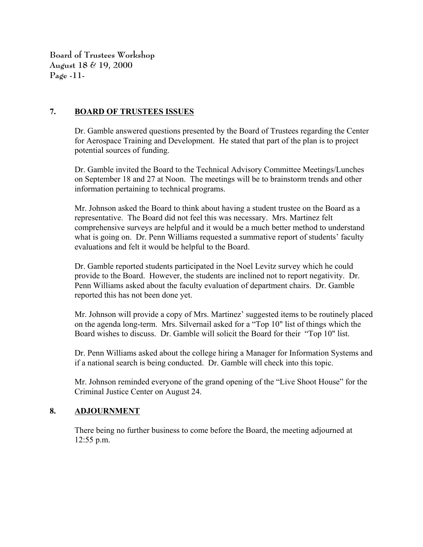**Board of Trustees Workshop August 18 & 19, 2000 Page -11-**

### **7. BOARD OF TRUSTEES ISSUES**

Dr. Gamble answered questions presented by the Board of Trustees regarding the Center for Aerospace Training and Development. He stated that part of the plan is to project potential sources of funding.

Dr. Gamble invited the Board to the Technical Advisory Committee Meetings/Lunches on September 18 and 27 at Noon. The meetings will be to brainstorm trends and other information pertaining to technical programs.

Mr. Johnson asked the Board to think about having a student trustee on the Board as a representative. The Board did not feel this was necessary. Mrs. Martinez felt comprehensive surveys are helpful and it would be a much better method to understand what is going on. Dr. Penn Williams requested a summative report of students' faculty evaluations and felt it would be helpful to the Board.

Dr. Gamble reported students participated in the Noel Levitz survey which he could provide to the Board. However, the students are inclined not to report negativity. Dr. Penn Williams asked about the faculty evaluation of department chairs. Dr. Gamble reported this has not been done yet.

Mr. Johnson will provide a copy of Mrs. Martinez' suggested items to be routinely placed on the agenda long-term. Mrs. Silvernail asked for a "Top 10" list of things which the Board wishes to discuss. Dr. Gamble will solicit the Board for their "Top 10" list.

Dr. Penn Williams asked about the college hiring a Manager for Information Systems and if a national search is being conducted. Dr. Gamble will check into this topic.

Mr. Johnson reminded everyone of the grand opening of the "Live Shoot House" for the Criminal Justice Center on August 24.

# **8. ADJOURNMENT**

There being no further business to come before the Board, the meeting adjourned at 12:55 p.m.